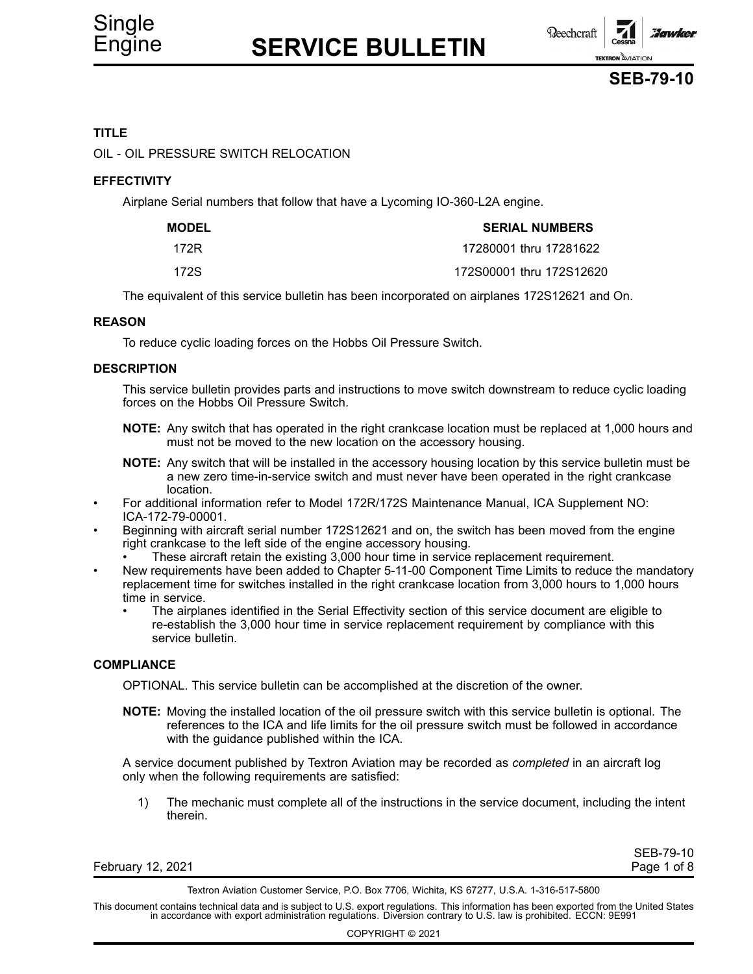**Reechcraft** Jonwice **TEXTRON AVIATION** 

### **SEB-79-10**

### **TITLE**

OIL - OIL PRESSURE SWITCH RELOCATION

### **EFFECTIVITY**

Airplane Serial numbers that follow that have <sup>a</sup> Lycoming IO-360-L2A engine.

| <b>MODEL</b> | <b>SERIAL NUMBERS</b>    |  |
|--------------|--------------------------|--|
| 172R         | 17280001 thru 17281622   |  |
| 172S         | 172S00001 thru 172S12620 |  |

The equivalent of this service bulletin has been incorporated on airplanes 172S12621 and On.

#### **REASON**

To reduce cyclic loading forces on the Hobbs Oil Pressure Switch.

### **DESCRIPTION**

This service bulletin provides parts and instructions to move switch downstream to reduce cyclic loading forces on the Hobbs Oil Pressure Switch.

- **NOTE:** Any switch that has operated in the right crankcase location must be replaced at 1,000 hours and must not be moved to the new location on the accessory housing.
- **NOTE:** Any switch that will be installed in the accessory housing location by this service bulletin must be <sup>a</sup> new zero time-in-service switch and must never have been operated in the right crankcase location.
- • For additional information refer to Model 172R/172S Maintenance Manual, ICA Supplement NO: ICA-172-79-00001.
- • Beginning with aircraft serial number 172S12621 and on, the switch has been moved from the engine right crankcase to the left side of the engine accessory housing.
	- •These aircraft retain the existing 3,000 hour time in service replacement requirement.
- • New requirements have been added to Chapter 5-11-00 Component Time Limits to reduce the mandatory replacement time for switches installed in the right crankcase location from 3,000 hours to 1,000 hours time in service.
	- • The airplanes identified in the Serial Effectivity section of this service document are eligible to re-establish the 3,000 hour time in service replacement requirement by compliance with this service bulletin.

### **COMPLIANCE**

OPTIONAL. This service bulletin can be accomplished at the discretion of the owner.

**NOTE:** Moving the installed location of the oil pressure switch with this service bulletin is optional. The references to the ICA and life limits for the oil pressure switch must be followed in accordance with the guidance published within the ICA.

A service document published by Textron Aviation may be recorded as *completed* in an aircraft log only when the following requirements are satisfied:

1) The mechanic must complete all of the instructions in the service document, including the intent therein.

|                   | SEB-79-10   |
|-------------------|-------------|
| February 12, 2021 | Page 1 of 8 |
|                   |             |

Textron Aviation Customer Service, P.O. Box 7706, Wichita, KS 67277, U.S.A. 1-316-517-5800

This document contains technical data and is subject to U.S. export regulations. This information has been exported from the United States<br>in accordance with export administration regulations. Diversion contrary to U.S. la

COPYRIGHT © 2021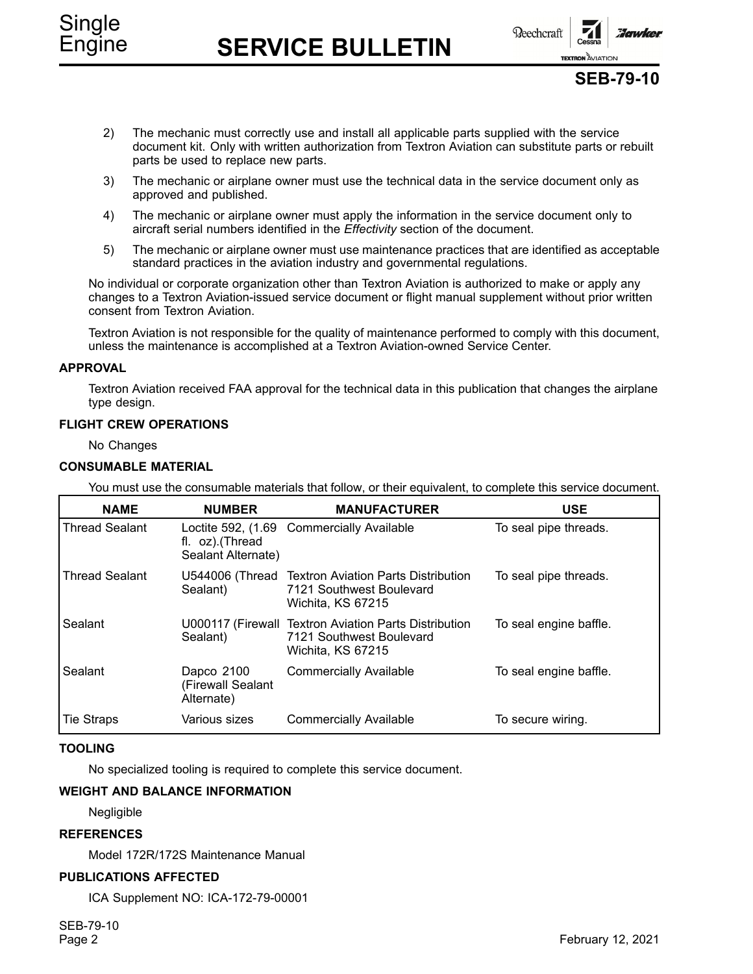Engine **SERVICE BULLETIN**

**Beechcraft** 

**TEXTRON AVIATION** 

## **SEB-79-10**

- 2) The mechanic must correctly use and install all applicable parts supplied with the service document kit. Only with written authorization from Textron Aviation can substitute parts or rebuilt parts be used to replace new parts.
- 3) The mechanic or airplane owner must use the technical data in the service document only as approved and published.
- 4) The mechanic or airplane owner must apply the information in the service document only to aircraft serial numbers identified in the *Effectivity* section of the document.
- 5) The mechanic or airplane owner must use maintenance practices that are identified as acceptable standard practices in the aviation industry and governmental regulations.

No individual or corporate organization other than Textron Aviation is authorized to make or apply any changes to <sup>a</sup> Textron Aviation-issued service document or flight manual supplement without prior written consent from Textron Aviation.

Textron Aviation is not responsible for the quality of maintenance performed to comply with this document, unless the maintenance is accomplished at <sup>a</sup> Textron Aviation-owned Service Center.

### **APPROVAL**

Textron Aviation received FAA approval for the technical data in this publication that changes the airplane type design.

### **FLIGHT CREW OPERATIONS**

No Changes

### **CONSUMABLE MATERIAL**

You must use the consumable materials that follow, or their equivalent, to complete this service document.

| <b>NAME</b>           | <b>NUMBER</b>                                 | <b>MANUFACTURER</b>                                                                                    | <b>USE</b>             |
|-----------------------|-----------------------------------------------|--------------------------------------------------------------------------------------------------------|------------------------|
| <b>Thread Sealant</b> | fl. oz).(Thread<br>Sealant Alternate)         | Loctite 592, (1.69 Commercially Available                                                              | To seal pipe threads.  |
| <b>Thread Sealant</b> | Sealant)                                      | U544006 (Thread Textron Aviation Parts Distribution<br>7121 Southwest Boulevard<br>Wichita, KS 67215   | To seal pipe threads.  |
| Sealant               | Sealant)                                      | U000117 (Firewall Textron Aviation Parts Distribution<br>7121 Southwest Boulevard<br>Wichita, KS 67215 | To seal engine baffle. |
| Sealant               | Dapco 2100<br>(Firewall Sealant<br>Alternate) | <b>Commercially Available</b>                                                                          | To seal engine baffle. |
| <b>Tie Straps</b>     | Various sizes                                 | <b>Commercially Available</b>                                                                          | To secure wiring.      |

### **TOOLING**

No specialized tooling is required to complete this service document.

### **WEIGHT AND BALANCE INFORMATION**

Negligible

### **REFERENCES**

Model 172R/172S Maintenance Manual

### **PUBLICATIONS AFFECTED**

ICA Supplement NO: ICA-172-79-00001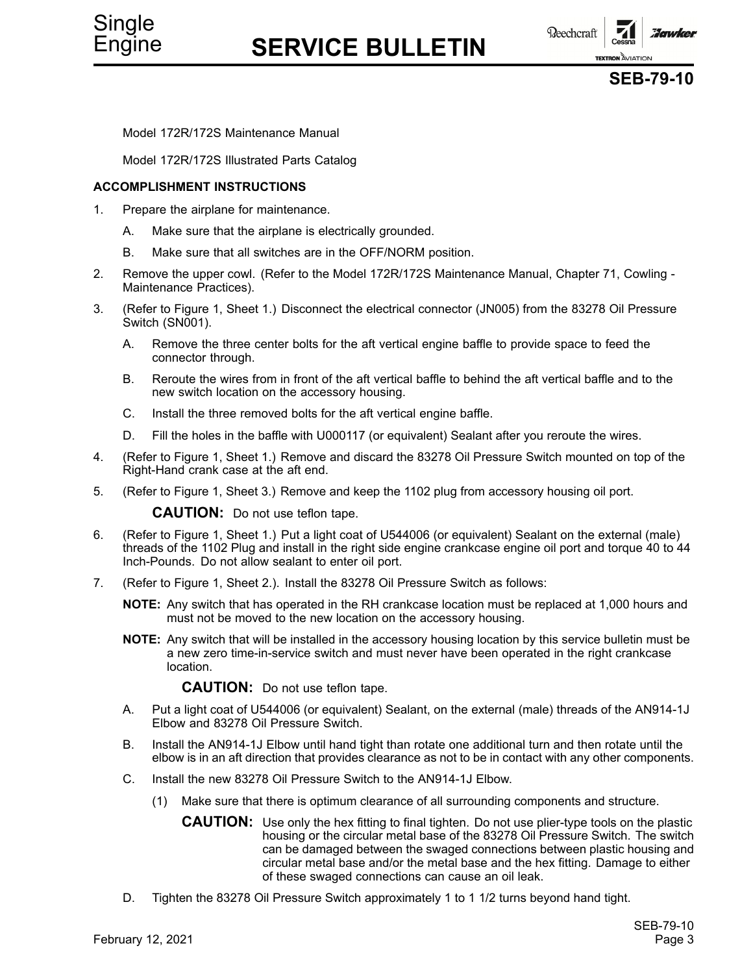**Beechcraft Hawker TEXTRON** AVIATION



Model 172R/172S Maintenance Manual

Model 172R/172S Illustrated Parts Catalog

### **ACCOMPLISHMENT INSTRUCTIONS**

- 1. Prepare the airplane for maintenance.
	- A. Make sure that the airplane is electrically grounded.
	- B. Make sure that all switches are in the OFF/NORM position.
- 2. Remove the upper cowl. (Refer to the Model 172R/172S Maintenance Manual, Chapter 71, Cowling Maintenance Practices).
- 3. (Refer to Figure 1, Sheet 1.) Disconnect the electrical connector (JN005) from the 83278 Oil Pressure Switch (SN001).
	- A. Remove the three center bolts for the aft vertical engine baffle to provide space to feed the connector through.
	- B. Reroute the wires from in front of the aft vertical baffle to behind the aft vertical baffle and to the new switch location on the accessory housing.
	- C. Install the three removed bolts for the aft vertical engine baffle.
	- D. Fill the holes in the baffle with U000117 (or equivalent) Sealant after you reroute the wires.
- 4. (Refer to Figure 1, Sheet 1.) Remove and discard the 83278 Oil Pressure Switch mounted on top of the Right-Hand crank case at the aft end.
- 5. (Refer to Figure 1, Sheet 3.) Remove and keep the 1102 plug from accessory housing oil port.

**CAUTION:** Do not use teflon tape.

- 6. (Refer to Figure 1, Sheet 1.) Put <sup>a</sup> light coat of U544006 (or equivalent) Sealant on the external (male) threads of the 1102 Plug and install in the right side engine crankcase engine oil port and torque 40 to 44 Inch-Pounds. Do not allow sealant to enter oil port.
- 7. (Refer to Figure 1, Sheet 2.). Install the 83278 Oil Pressure Switch as follows:

**NOTE:** Any switch that has operated in the RH crankcase location must be replaced at 1,000 hours and must not be moved to the new location on the accessory housing.

**NOTE:** Any switch that will be installed in the accessory housing location by this service bulletin must be <sup>a</sup> new zero time-in-service switch and must never have been operated in the right crankcase location.

**CAUTION:** Do not use teflon tape.

- A. Put <sup>a</sup> light coat of U544006 (or equivalent) Sealant, on the external (male) threads of the AN914-1J Elbow and 83278 Oil Pressure Switch.
- B. Install the AN914-1J Elbow until hand tight than rotate one additional turn and then rotate until the elbow is in an aft direction that provides clearance as not to be in contact with any other components.
- C. Install the new 83278 Oil Pressure Switch to the AN914-1J Elbow.
	- (1) Make sure that there is optimum clearance of all surrounding components and structure.
		- **CAUTION:** Use only the hex fitting to final tighten. Do not use plier-type tools on the plastic housing or the circular metal base of the 83278 Oil Pressure Switch. The switch can be damaged between the swaged connections between plastic housing and circular metal base and/or the metal base and the hex fitting. Damage to either of these swaged connections can cause an oil leak.
- D. Tighten the 83278 Oil Pressure Switch approximately 1 to 1 1/2 turns beyond hand tight.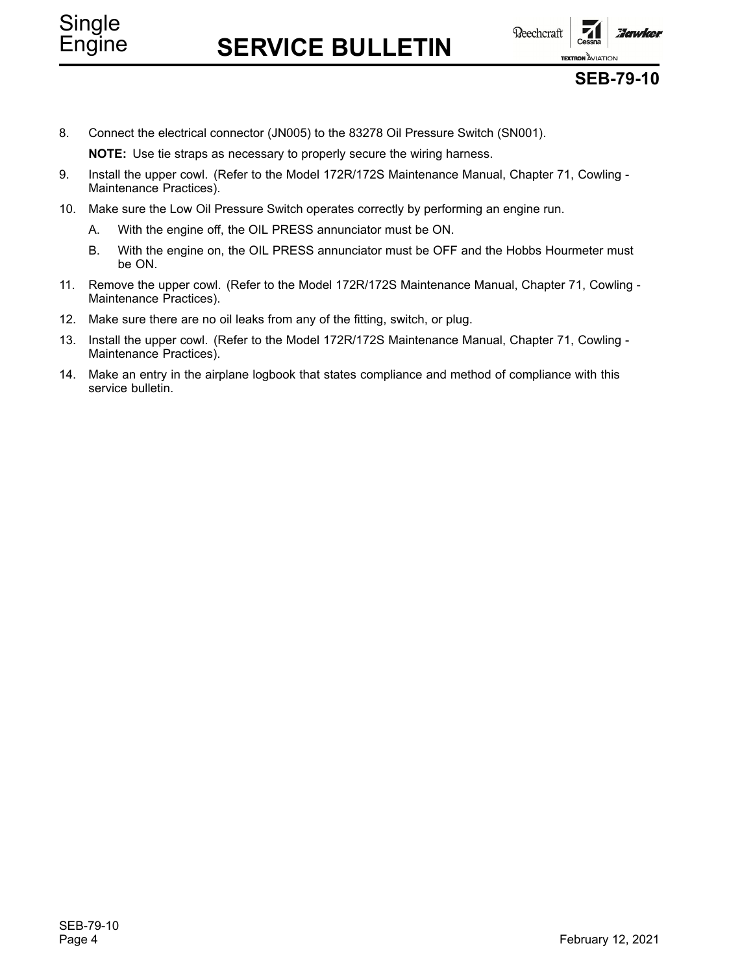# Single

# Engine **SERVICE BULLETIN**





## **SEB-79-10**

8. Connect the electrical connector (JN005) to the 83278 Oil Pressure Switch (SN001).

**NOTE:** Use tie straps as necessary to properly secure the wiring harness.

- 9. Install the upper cowl. (Refer to the Model 172R/172S Maintenance Manual, Chapter 71, Cowling Maintenance Practices).
- 10. Make sure the Low Oil Pressure Switch operates correctly by performing an engine run.
	- A. With the engine off, the OIL PRESS annunciator must be ON.
	- B. With the engine on, the OIL PRESS annunciator must be OFF and the Hobbs Hourmeter must be ON.
- 11. Remove the upper cowl. (Refer to the Model 172R/172S Maintenance Manual, Chapter 71, Cowling Maintenance Practices).
- 12. Make sure there are no oil leaks from any of the fitting, switch, or plug.
- 13. Install the upper cowl. (Refer to the Model 172R/172S Maintenance Manual, Chapter 71, Cowling Maintenance Practices).
- 14. Make an entry in the airplane logbook that states compliance and method of compliance with this service bulletin.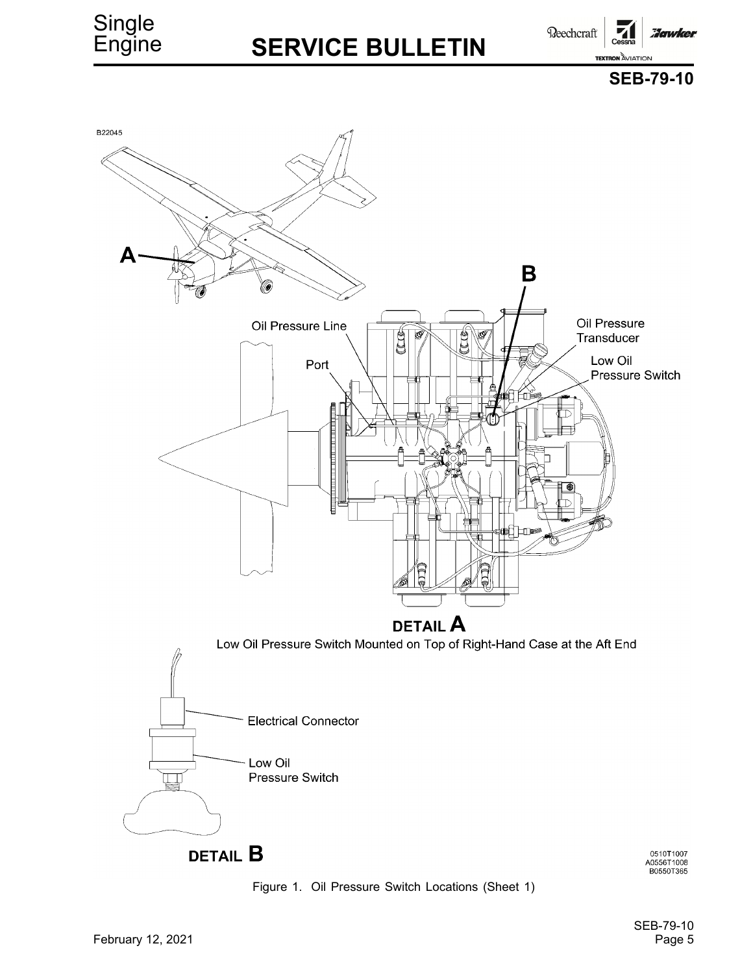## **SERVICE BULLETIN**

**Beechcraft Howker TEXTRON AVIATION** 





Figure 1. Oil Pressure Switch Locations (Sheet 1)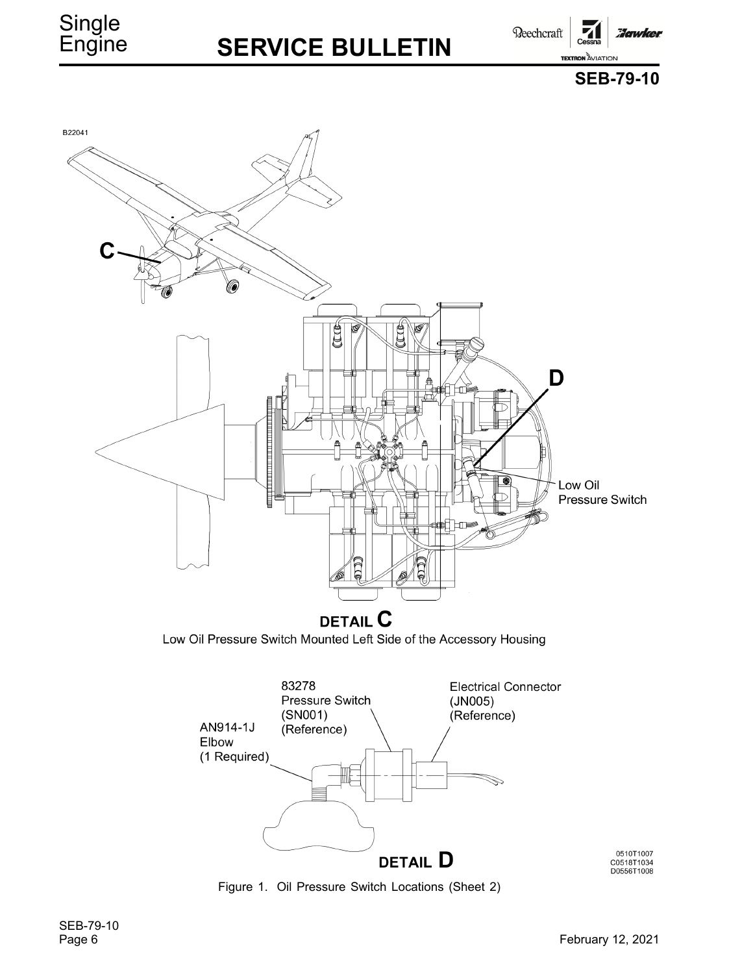## **SERVICE BULLETIN**

**Reechcraft** 

**Hawker** 

**SEB-79-10**

**TEXTRON AVIATION** 

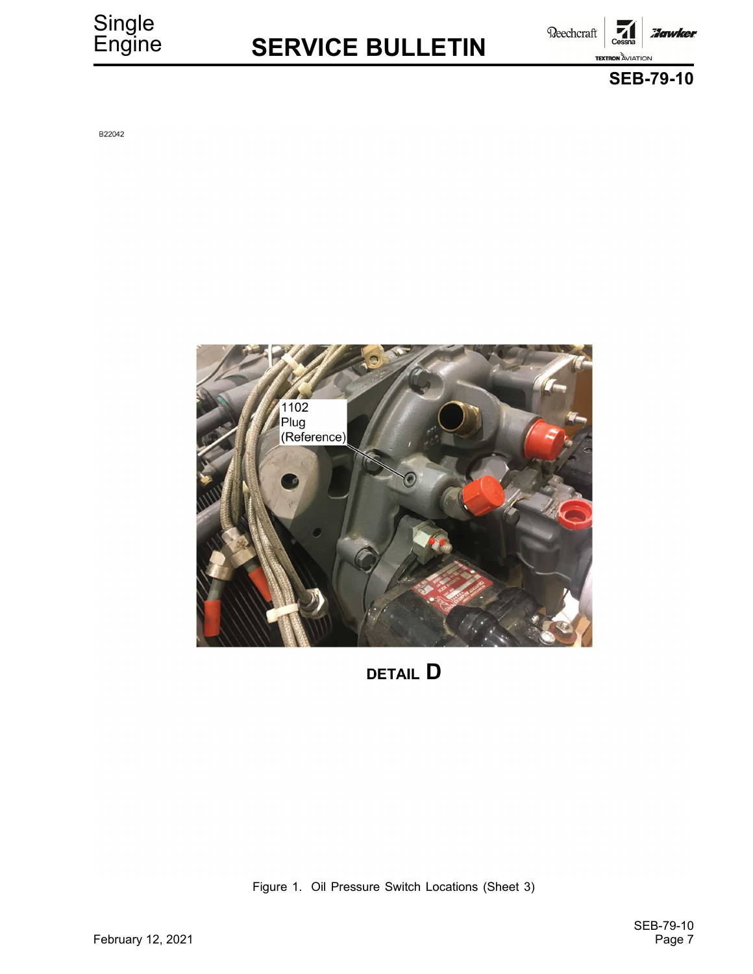# **SERVICE BULLETIN**

Beechcraft :Jawker **TEXTRON** AVIATION



B22042



**DETAIL D** 

Figure 1. Oil Pressure Switch Locations (Sheet 3)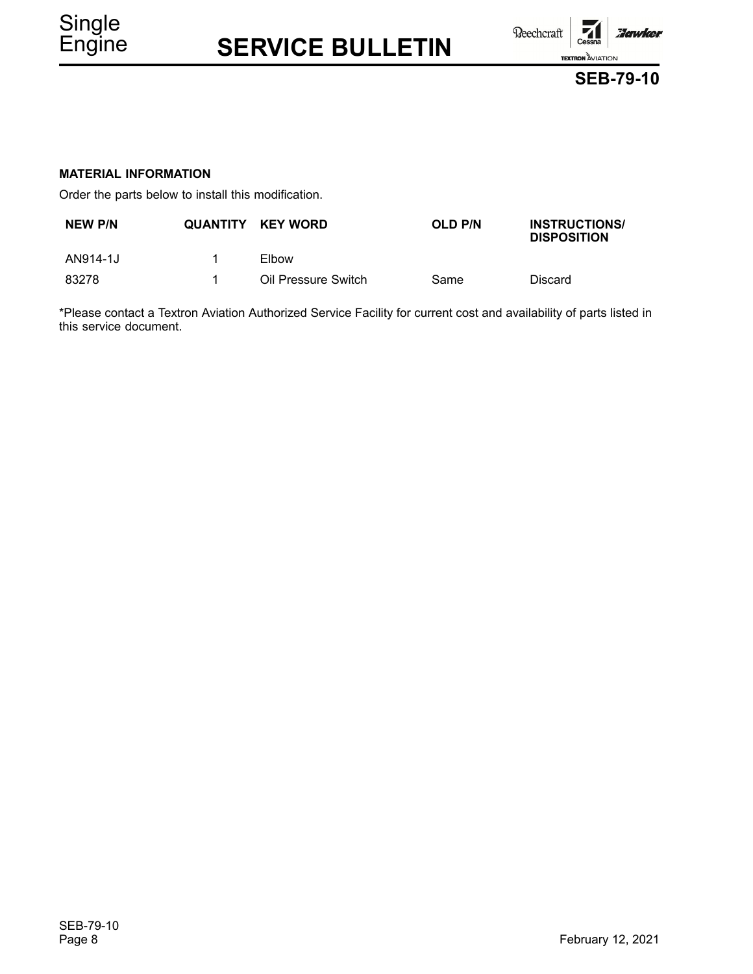

Order the parts below to install this modification.

| NEW P/N  | QUANTITY KEY WORD   | <b>OLD P/N</b> | <b>INSTRUCTIONS/</b><br><b>DISPOSITION</b> |
|----------|---------------------|----------------|--------------------------------------------|
| AN914-1J | Elbow               |                |                                            |
| 83278    | Oil Pressure Switch | Same           | <b>Discard</b>                             |

\*Please contact <sup>a</sup> Textron Aviation Authorized Service Facility for current cost and availability of parts listed in this service document.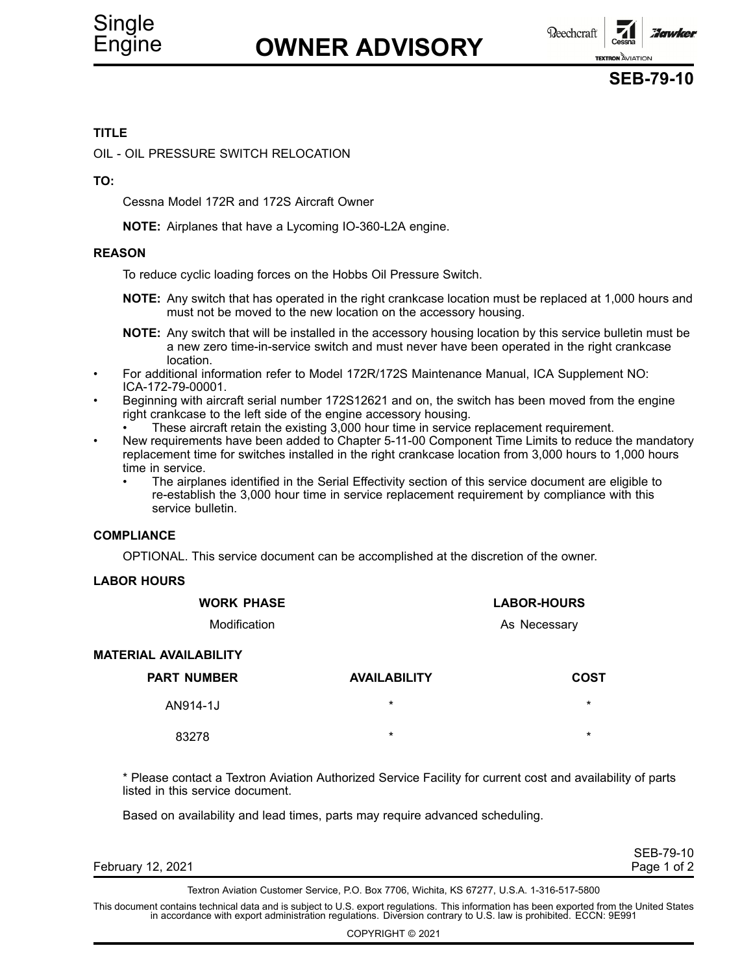

### **TITLE**

OIL - OIL PRESSURE SWITCH RELOCATION

### **TO:**

Cessna Model 172R and 172S Aircraft Owner

**NOTE:** Airplanes that have <sup>a</sup> Lycoming IO-360-L2A engine.

### **REASON**

To reduce cyclic loading forces on the Hobbs Oil Pressure Switch.

**NOTE:** Any switch that has operated in the right crankcase location must be replaced at 1,000 hours and must not be moved to the new location on the accessory housing.

**NOTE:** Any switch that will be installed in the accessory housing location by this service bulletin must be <sup>a</sup> new zero time-in-service switch and must never have been operated in the right crankcase location.

- • For additional information refer to Model 172R/172S Maintenance Manual, ICA Supplement NO: ICA-172-79-00001.
- • Beginning with aircraft serial number 172S12621 and on, the switch has been moved from the engine right crankcase to the left side of the engine accessory housing.
	- •These aircraft retain the existing 3,000 hour time in service replacement requirement.
- • New requirements have been added to Chapter 5-11-00 Component Time Limits to reduce the mandatory replacement time for switches installed in the right crankcase location from 3,000 hours to 1,000 hours time in service.
	- • The airplanes identified in the Serial Effectivity section of this service document are eligible to re-establish the 3,000 hour time in service replacement requirement by compliance with this service bulletin.

### **COMPLIANCE**

OPTIONAL. This service document can be accomplished at the discretion of the owner.

### **LABOR HOURS**

| <b>WORK PHASE</b>            |                     | <b>LABOR-HOURS</b> |  |
|------------------------------|---------------------|--------------------|--|
| Modification                 |                     | As Necessary       |  |
| <b>MATERIAL AVAILABILITY</b> |                     |                    |  |
| <b>PART NUMBER</b>           | <b>AVAILABILITY</b> | COST               |  |
| AN914-1J                     | $\star$             | $\star$            |  |
| 83278                        | $\star$             | $\ast$             |  |

\* Please contact <sup>a</sup> Textron Aviation Authorized Service Facility for current cost and availability of parts listed in this service document.

Based on availability and lead times, parts may require advanced scheduling.

|                   | SEB-79-10   |
|-------------------|-------------|
| February 12, 2021 | Page 1 of 2 |

Textron Aviation Customer Service, P.O. Box 7706, Wichita, KS 67277, U.S.A. 1-316-517-5800

This document contains technical data and is subject to U.S. export regulations. This information has been exported from the United States<br>in accordance with export administration regulations. Diversion contrary to U.S. la

COPYRIGHT © 2021